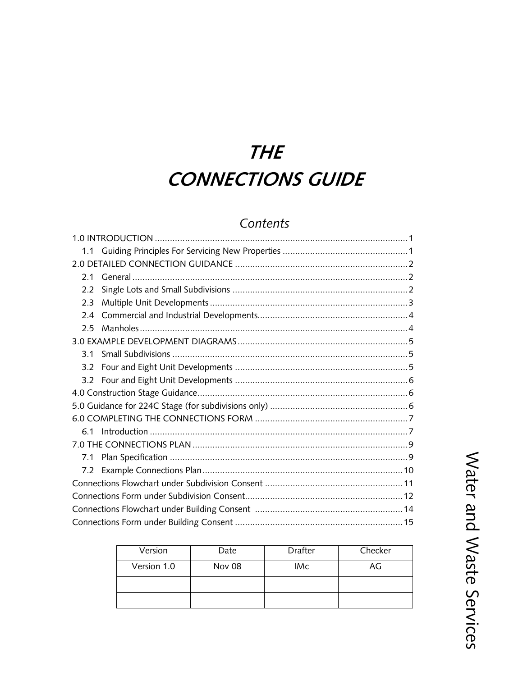# **THE CONNECTIONS GUIDE**

# Contents

| 1.1              |  |  |  |
|------------------|--|--|--|
|                  |  |  |  |
| 2.1              |  |  |  |
| $2.2\phantom{0}$ |  |  |  |
| 2.3              |  |  |  |
| 2.4              |  |  |  |
| 2.5              |  |  |  |
|                  |  |  |  |
| 3.1              |  |  |  |
|                  |  |  |  |
|                  |  |  |  |
|                  |  |  |  |
|                  |  |  |  |
|                  |  |  |  |
|                  |  |  |  |
|                  |  |  |  |
| 7.1              |  |  |  |
|                  |  |  |  |
|                  |  |  |  |
|                  |  |  |  |
|                  |  |  |  |
|                  |  |  |  |

| Version     | Date   | Drafter | Checker |
|-------------|--------|---------|---------|
| Version 1.0 | Nov 08 | IMc     | AG      |
|             |        |         |         |
|             |        |         |         |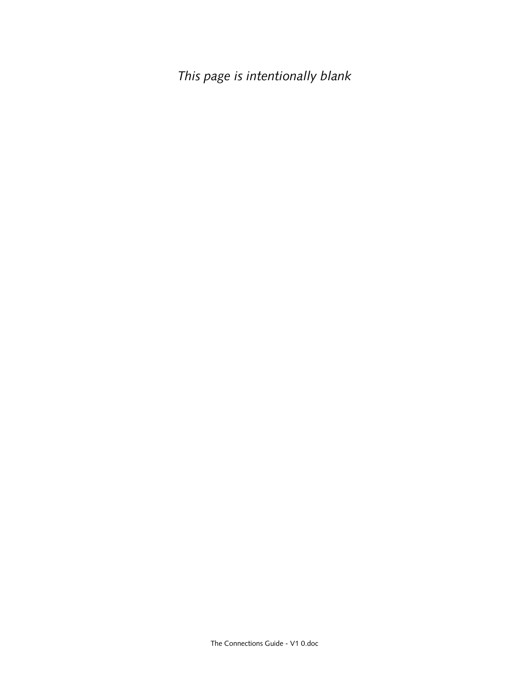This page is intentionally blank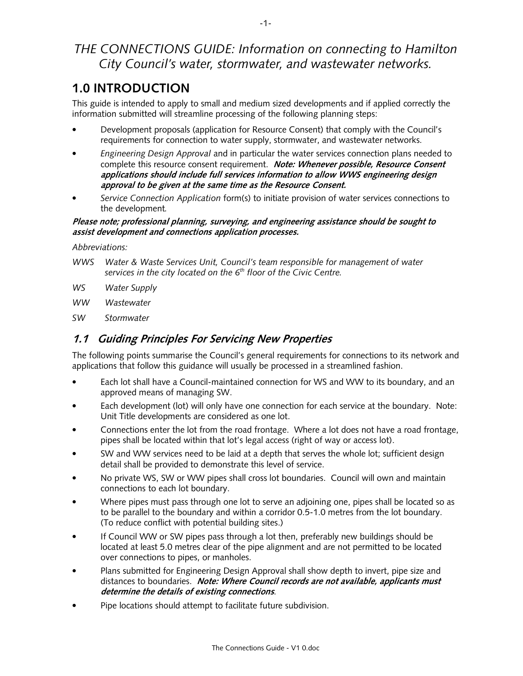# THE CONNECTIONS GUIDE: Information on connecting to Hamilton City Council's water, stormwater, and wastewater networks.

# 1.0 INTRODUCTION

This guide is intended to apply to small and medium sized developments and if applied correctly the information submitted will streamline processing of the following planning steps:

- Development proposals (application for Resource Consent) that comply with the Council's requirements for connection to water supply, stormwater, and wastewater networks.
- Engineering Design Approval and in particular the water services connection plans needed to complete this resource consent requirement. Note: Whenever possible, Resource Consent applications should include full services information to allow WWS engineering design approval to be given at the same time as the Resource Consent.
- Service Connection Application form(s) to initiate provision of water services connections to the development.

#### Please note; professional planning, surveying, and engineering assistance should be sought to assist development and connections application processes.

#### Abbreviations:

- WWS Water & Waste Services Unit, Council's team responsible for management of water services in the city located on the  $6<sup>th</sup>$  floor of the Civic Centre.
- WS Water Supply
- WW Wastewater
- SW Stormwater

### 1.1 Guiding Principles For Servicing New Properties

The following points summarise the Council's general requirements for connections to its network and applications that follow this guidance will usually be processed in a streamlined fashion.

- Each lot shall have a Council-maintained connection for WS and WW to its boundary, and an approved means of managing SW.
- Each development (lot) will only have one connection for each service at the boundary. Note: Unit Title developments are considered as one lot.
- Connections enter the lot from the road frontage. Where a lot does not have a road frontage, pipes shall be located within that lot's legal access (right of way or access lot).
- SW and WW services need to be laid at a depth that serves the whole lot; sufficient design detail shall be provided to demonstrate this level of service.
- No private WS, SW or WW pipes shall cross lot boundaries. Council will own and maintain connections to each lot boundary.
- Where pipes must pass through one lot to serve an adjoining one, pipes shall be located so as to be parallel to the boundary and within a corridor 0.5-1.0 metres from the lot boundary. (To reduce conflict with potential building sites.)
- If Council WW or SW pipes pass through a lot then, preferably new buildings should be located at least 5.0 metres clear of the pipe alignment and are not permitted to be located over connections to pipes, or manholes.
- Plans submitted for Engineering Design Approval shall show depth to invert, pipe size and distances to boundaries. Note: Where Council records are not available, applicants must determine the details of existing connections.
- Pipe locations should attempt to facilitate future subdivision.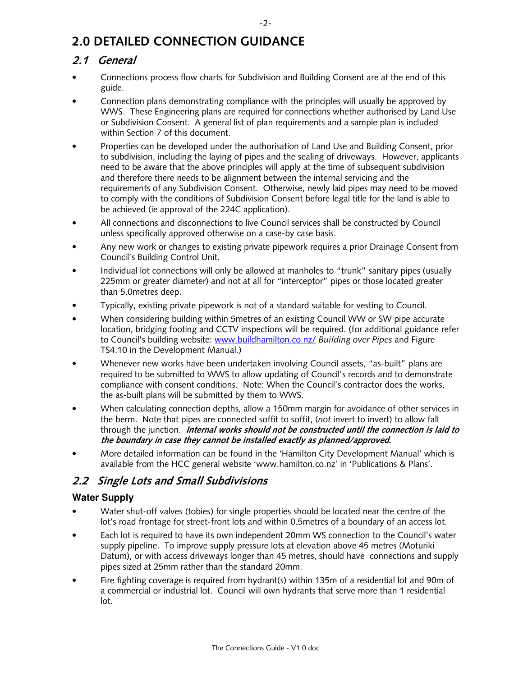# 2.0 DETAILED CONNECTION GUIDANCE

### 2.1 General

- Connections process flow charts for Subdivision and Building Consent are at the end of this guide.
- Connection plans demonstrating compliance with the principles will usually be approved by WWS. These Engineering plans are required for connections whether authorised by Land Use or Subdivision Consent. A general list of plan requirements and a sample plan is included within Section 7 of this document.
- Properties can be developed under the authorisation of Land Use and Building Consent, prior to subdivision, including the laying of pipes and the sealing of driveways. However, applicants need to be aware that the above principles will apply at the time of subsequent subdivision and therefore there needs to be alignment between the internal servicing and the requirements of any Subdivision Consent. Otherwise, newly laid pipes may need to be moved to comply with the conditions of Subdivision Consent before legal title for the land is able to be achieved (ie approval of the 224C application).
- All connections and disconnections to live Council services shall be constructed by Council unless specifically approved otherwise on a case-by case basis.
- Any new work or changes to existing private pipework requires a prior Drainage Consent from Council's Building Control Unit.
- Individual lot connections will only be allowed at manholes to "trunk" sanitary pipes (usually 225mm or greater diameter) and not at all for "interceptor" pipes or those located greater than 5.0metres deep.
- Typically, existing private pipework is not of a standard suitable for vesting to Council.
- When considering building within 5metres of an existing Council WW or SW pipe accurate location, bridging footing and CCTV inspections will be required. (for additional guidance refer to Council's building website: www.buildhamilton.co.nz/ Building over Pipes and Figure TS4.10 in the Development Manual.)
- Whenever new works have been undertaken involving Council assets, "as-built" plans are required to be submitted to WWS to allow updating of Council's records and to demonstrate compliance with consent conditions. Note: When the Council's contractor does the works, the as-built plans will be submitted by them to WWS.
- When calculating connection depths, allow a 150mm margin for avoidance of other services in the berm. Note that pipes are connected soffit to soffit, (not invert to invert) to allow fall through the junction. *Internal works should not be constructed until the connection is laid to* the boundary in case they cannot be installed exactly as planned/approved.
- More detailed information can be found in the 'Hamilton City Development Manual' which is available from the HCC general website 'www.hamilton.co.nz' in 'Publications & Plans'.

# 2.2 Single Lots and Small Subdivisions

### **Water Supply**

- Water shut-off valves (tobies) for single properties should be located near the centre of the lot's road frontage for street-front lots and within 0.5metres of a boundary of an access lot.
- Each lot is required to have its own independent 20mm WS connection to the Council's water supply pipeline. To improve supply pressure lots at elevation above 45 metres (Moturiki Datum), or with access driveways longer than 45 metres, should have connections and supply pipes sized at 25mm rather than the standard 20mm.
- Fire fighting coverage is required from hydrant(s) within 135m of a residential lot and 90m of a commercial or industrial lot. Council will own hydrants that serve more than 1 residential lot.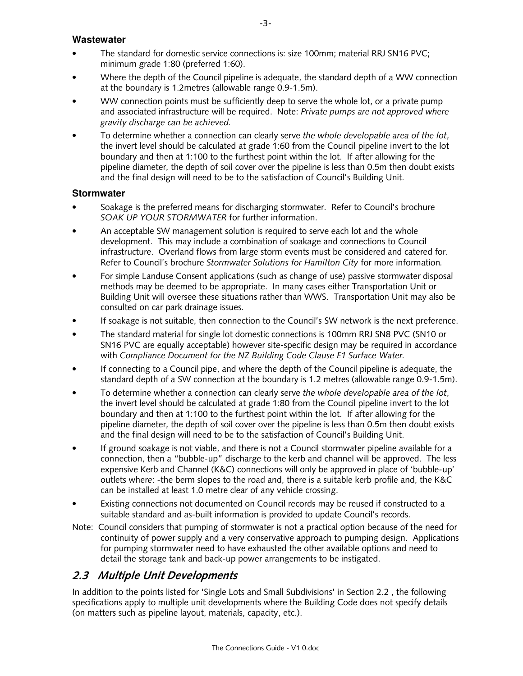#### **Wastewater**

- The standard for domestic service connections is: size 100mm; material RRJ SN16 PVC; minimum grade 1:80 (preferred 1:60).
- Where the depth of the Council pipeline is adequate, the standard depth of a WW connection at the boundary is 1.2metres (allowable range 0.9-1.5m).
- WW connection points must be sufficiently deep to serve the whole lot, or a private pump and associated infrastructure will be required. Note: Private pumps are not approved where gravity discharge can be achieved.
- To determine whether a connection can clearly serve the whole developable area of the lot, the invert level should be calculated at grade 1:60 from the Council pipeline invert to the lot boundary and then at 1:100 to the furthest point within the lot. If after allowing for the pipeline diameter, the depth of soil cover over the pipeline is less than 0.5m then doubt exists and the final design will need to be to the satisfaction of Council's Building Unit.

#### **Stormwater**

- Soakage is the preferred means for discharging stormwater. Refer to Council's brochure SOAK UP YOUR STORMWATER for further information.
- An acceptable SW management solution is required to serve each lot and the whole development. This may include a combination of soakage and connections to Council infrastructure. Overland flows from large storm events must be considered and catered for. Refer to Council's brochure Stormwater Solutions for Hamilton City for more information.
- For simple Landuse Consent applications (such as change of use) passive stormwater disposal methods may be deemed to be appropriate. In many cases either Transportation Unit or Building Unit will oversee these situations rather than WWS. Transportation Unit may also be consulted on car park drainage issues.
- If soakage is not suitable, then connection to the Council's SW network is the next preference.
- The standard material for single lot domestic connections is 100mm RRJ SN8 PVC (SN10 or SN16 PVC are equally acceptable) however site-specific design may be required in accordance with Compliance Document for the NZ Building Code Clause E1 Surface Water.
- If connecting to a Council pipe, and where the depth of the Council pipeline is adequate, the standard depth of a SW connection at the boundary is 1.2 metres (allowable range 0.9-1.5m).
- To determine whether a connection can clearly serve the whole developable area of the lot, the invert level should be calculated at grade 1:80 from the Council pipeline invert to the lot boundary and then at 1:100 to the furthest point within the lot. If after allowing for the pipeline diameter, the depth of soil cover over the pipeline is less than 0.5m then doubt exists and the final design will need to be to the satisfaction of Council's Building Unit.
- If ground soakage is not viable, and there is not a Council stormwater pipeline available for a connection, then a "bubble-up" discharge to the kerb and channel will be approved. The less expensive Kerb and Channel (K&C) connections will only be approved in place of 'bubble-up' outlets where: -the berm slopes to the road and, there is a suitable kerb profile and, the K&C can be installed at least 1.0 metre clear of any vehicle crossing.
- Existing connections not documented on Council records may be reused if constructed to a suitable standard and as-built information is provided to update Council's records.
- Note: Council considers that pumping of stormwater is not a practical option because of the need for continuity of power supply and a very conservative approach to pumping design. Applications for pumping stormwater need to have exhausted the other available options and need to detail the storage tank and back-up power arrangements to be instigated.

### 2.3 Multiple Unit Developments

In addition to the points listed for 'Single Lots and Small Subdivisions' in Section 2.2 , the following specifications apply to multiple unit developments where the Building Code does not specify details (on matters such as pipeline layout, materials, capacity, etc.).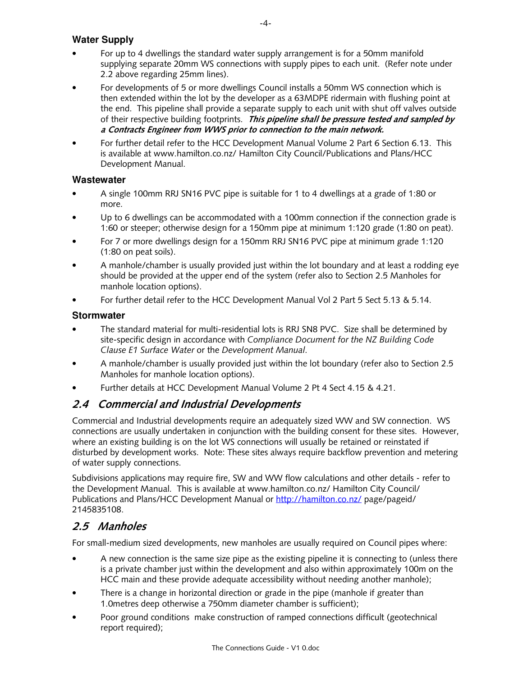### **Water Supply**

- For up to 4 dwellings the standard water supply arrangement is for a 50mm manifold supplying separate 20mm WS connections with supply pipes to each unit. (Refer note under 2.2 above regarding 25mm lines).
- For developments of 5 or more dwellings Council installs a 50mm WS connection which is then extended within the lot by the developer as a 63MDPE ridermain with flushing point at the end. This pipeline shall provide a separate supply to each unit with shut off valves outside of their respective building footprints. This pipeline shall be pressure tested and sampled by a Contracts Engineer from WWS prior to connection to the main network.
- For further detail refer to the HCC Development Manual Volume 2 Part 6 Section 6.13. This is available at www.hamilton.co.nz/ Hamilton City Council/Publications and Plans/HCC Development Manual.

### **Wastewater**

- A single 100mm RRJ SN16 PVC pipe is suitable for 1 to 4 dwellings at a grade of 1:80 or more.
- Up to 6 dwellings can be accommodated with a 100mm connection if the connection grade is 1:60 or steeper; otherwise design for a 150mm pipe at minimum 1:120 grade (1:80 on peat).
- For 7 or more dwellings design for a 150mm RRJ SN16 PVC pipe at minimum grade 1:120 (1:80 on peat soils).
- A manhole/chamber is usually provided just within the lot boundary and at least a rodding eye should be provided at the upper end of the system (refer also to Section 2.5 Manholes for manhole location options).
- For further detail refer to the HCC Development Manual Vol 2 Part 5 Sect 5.13 & 5.14.

### **Stormwater**

- The standard material for multi-residential lots is RRJ SN8 PVC. Size shall be determined by site-specific design in accordance with Compliance Document for the NZ Building Code Clause E1 Surface Water or the Development Manual.
- A manhole/chamber is usually provided just within the lot boundary (refer also to Section 2.5 Manholes for manhole location options).
- Further details at HCC Development Manual Volume 2 Pt 4 Sect 4.15 & 4.21.

### 2.4 Commercial and Industrial Developments

Commercial and Industrial developments require an adequately sized WW and SW connection. WS connections are usually undertaken in conjunction with the building consent for these sites. However, where an existing building is on the lot WS connections will usually be retained or reinstated if disturbed by development works. Note: These sites always require backflow prevention and metering of water supply connections.

Subdivisions applications may require fire, SW and WW flow calculations and other details - refer to the Development Manual. This is available at www.hamilton.co.nz/ Hamilton City Council/ Publications and Plans/HCC Development Manual or http://hamilton.co.nz/ page/pageid/ 2145835108.

### 2.5 Manholes

For small-medium sized developments, new manholes are usually required on Council pipes where:

- A new connection is the same size pipe as the existing pipeline it is connecting to (unless there is a private chamber just within the development and also within approximately 100m on the HCC main and these provide adequate accessibility without needing another manhole);
- There is a change in horizontal direction or grade in the pipe (manhole if greater than 1.0metres deep otherwise a 750mm diameter chamber is sufficient);
- Poor ground conditions make construction of ramped connections difficult (geotechnical report required);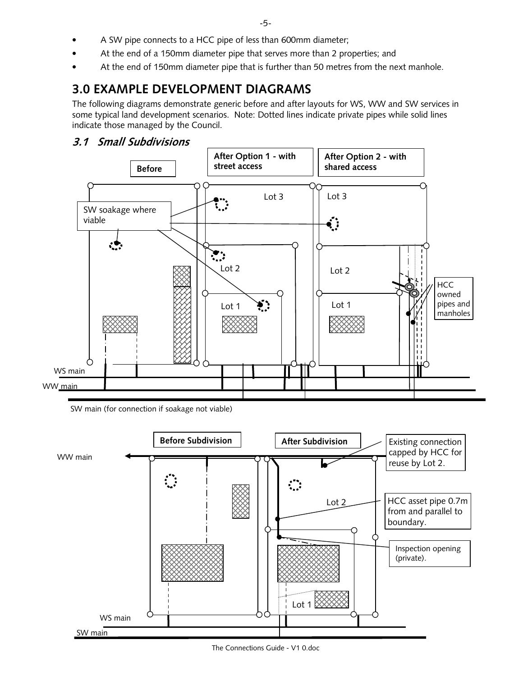- A SW pipe connects to a HCC pipe of less than 600mm diameter;
- At the end of a 150mm diameter pipe that serves more than 2 properties; and
- At the end of 150mm diameter pipe that is further than 50 metres from the next manhole.

# 3.0 EXAMPLE DEVELOPMENT DIAGRAMS

The following diagrams demonstrate generic before and after layouts for WS, WW and SW services in some typical land development scenarios. Note: Dotted lines indicate private pipes while solid lines indicate those managed by the Council.

### 3.1 Small Subdivisions



SW main (for connection if soakage not viable)



The Connections Guide - V1 0.doc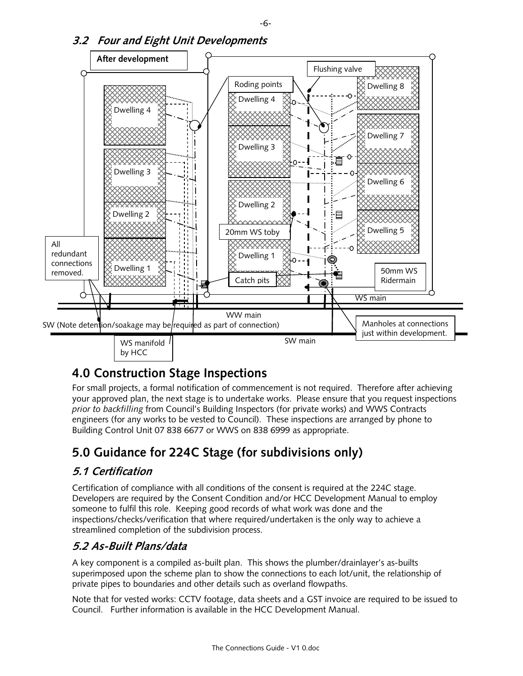

# 3.2 Four and Eight Unit Developments

# 4.0 Construction Stage Inspections

For small projects, a formal notification of commencement is not required. Therefore after achieving your approved plan, the next stage is to undertake works. Please ensure that you request inspections prior to backfilling from Council's Building Inspectors (for private works) and WWS Contracts engineers (for any works to be vested to Council). These inspections are arranged by phone to Building Control Unit 07 838 6677 or WWS on 838 6999 as appropriate.

# 5.0 Guidance for 224C Stage (for subdivisions only)

# 5.1 Certification

Certification of compliance with all conditions of the consent is required at the 224C stage. Developers are required by the Consent Condition and/or HCC Development Manual to employ someone to fulfil this role. Keeping good records of what work was done and the inspections/checks/verification that where required/undertaken is the only way to achieve a streamlined completion of the subdivision process.

# 5.2 As-Built Plans/data

A key component is a compiled as-built plan. This shows the plumber/drainlayer's as-builts superimposed upon the scheme plan to show the connections to each lot/unit, the relationship of private pipes to boundaries and other details such as overland flowpaths.

Note that for vested works: CCTV footage, data sheets and a GST invoice are required to be issued to Council. Further information is available in the HCC Development Manual.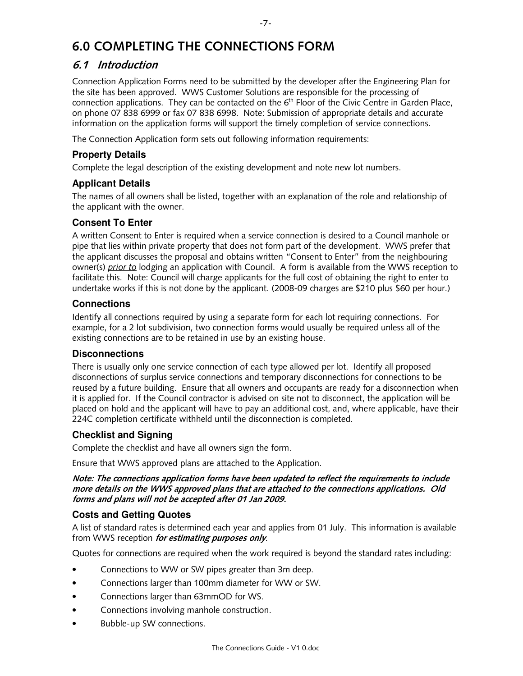# 6.0 COMPLETING THE CONNECTIONS FORM

### 6.1 Introduction

Connection Application Forms need to be submitted by the developer after the Engineering Plan for the site has been approved. WWS Customer Solutions are responsible for the processing of connection applications. They can be contacted on the 6<sup>th</sup> Floor of the Civic Centre in Garden Place, on phone 07 838 6999 or fax 07 838 6998. Note: Submission of appropriate details and accurate information on the application forms will support the timely completion of service connections.

The Connection Application form sets out following information requirements:

### **Property Details**

Complete the legal description of the existing development and note new lot numbers.

### **Applicant Details**

The names of all owners shall be listed, together with an explanation of the role and relationship of the applicant with the owner.

### **Consent To Enter**

A written Consent to Enter is required when a service connection is desired to a Council manhole or pipe that lies within private property that does not form part of the development. WWS prefer that the applicant discusses the proposal and obtains written "Consent to Enter" from the neighbouring owner(s) prior to lodging an application with Council. A form is available from the WWS reception to facilitate this. Note: Council will charge applicants for the full cost of obtaining the right to enter to undertake works if this is not done by the applicant. (2008-09 charges are \$210 plus \$60 per hour.)

### **Connections**

Identify all connections required by using a separate form for each lot requiring connections. For example, for a 2 lot subdivision, two connection forms would usually be required unless all of the existing connections are to be retained in use by an existing house.

### **Disconnections**

There is usually only one service connection of each type allowed per lot. Identify all proposed disconnections of surplus service connections and temporary disconnections for connections to be reused by a future building. Ensure that all owners and occupants are ready for a disconnection when it is applied for. If the Council contractor is advised on site not to disconnect, the application will be placed on hold and the applicant will have to pay an additional cost, and, where applicable, have their 224C completion certificate withheld until the disconnection is completed.

### **Checklist and Signing**

Complete the checklist and have all owners sign the form.

Ensure that WWS approved plans are attached to the Application.

Note: The connections application forms have been updated to reflect the requirements to include more details on the WWS approved plans that are attached to the connections applications. Old forms and plans will not be accepted after 01 Jan 2009.

### **Costs and Getting Quotes**

A list of standard rates is determined each year and applies from 01 July. This information is available from WWS reception for estimating purposes only.

Quotes for connections are required when the work required is beyond the standard rates including:

- Connections to WW or SW pipes greater than 3m deep.
- Connections larger than 100mm diameter for WW or SW.
- Connections larger than 63mmOD for WS.
- Connections involving manhole construction.
- Bubble-up SW connections.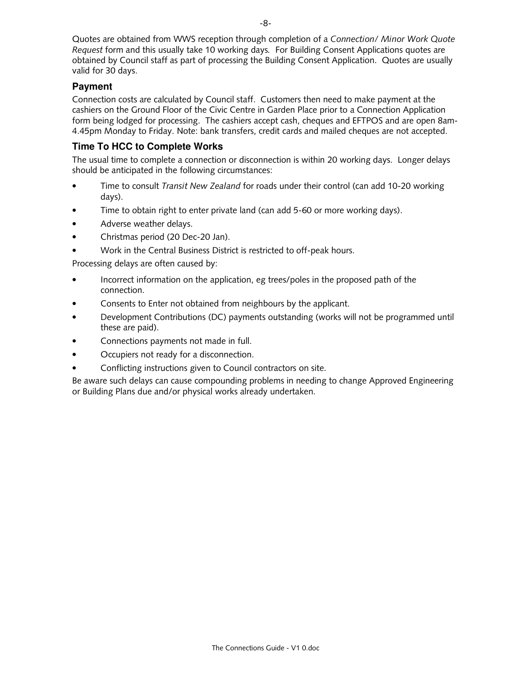Quotes are obtained from WWS reception through completion of a Connection/ Minor Work Quote Request form and this usually take 10 working days. For Building Consent Applications quotes are obtained by Council staff as part of processing the Building Consent Application. Quotes are usually valid for 30 days.

### **Payment**

Connection costs are calculated by Council staff. Customers then need to make payment at the cashiers on the Ground Floor of the Civic Centre in Garden Place prior to a Connection Application form being lodged for processing. The cashiers accept cash, cheques and EFTPOS and are open 8am-4.45pm Monday to Friday. Note: bank transfers, credit cards and mailed cheques are not accepted.

### **Time To HCC to Complete Works**

The usual time to complete a connection or disconnection is within 20 working days. Longer delays should be anticipated in the following circumstances:

- Time to consult Transit New Zealand for roads under their control (can add 10-20 working days).
- Time to obtain right to enter private land (can add 5-60 or more working days).
- Adverse weather delays.
- Christmas period (20 Dec-20 Jan).
- Work in the Central Business District is restricted to off-peak hours.

Processing delays are often caused by:

- Incorrect information on the application, eg trees/poles in the proposed path of the connection.
- Consents to Enter not obtained from neighbours by the applicant.
- Development Contributions (DC) payments outstanding (works will not be programmed until these are paid).
- Connections payments not made in full.
- Occupiers not ready for a disconnection.
- Conflicting instructions given to Council contractors on site.

Be aware such delays can cause compounding problems in needing to change Approved Engineering or Building Plans due and/or physical works already undertaken.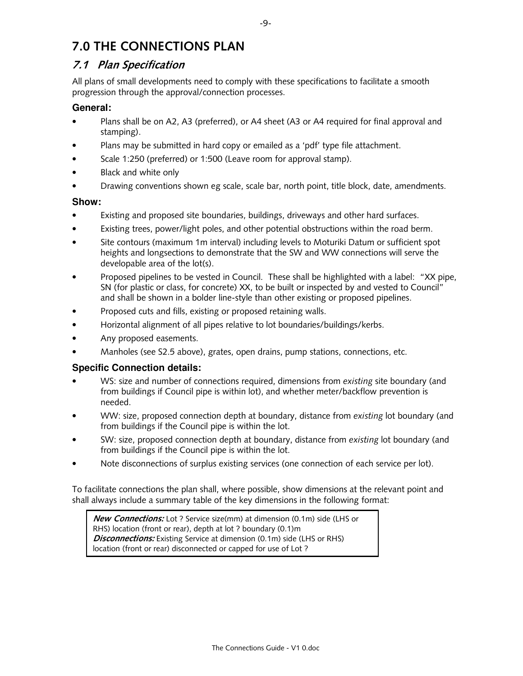# 7.0 THE CONNECTIONS PLAN

### 7.1 Plan Specification

All plans of small developments need to comply with these specifications to facilitate a smooth progression through the approval/connection processes.

### **General:**

- Plans shall be on A2, A3 (preferred), or A4 sheet (A3 or A4 required for final approval and stamping).
- Plans may be submitted in hard copy or emailed as a 'pdf' type file attachment.
- Scale 1:250 (preferred) or 1:500 (Leave room for approval stamp).
- Black and white only
- Drawing conventions shown eg scale, scale bar, north point, title block, date, amendments.

#### **Show:**

- Existing and proposed site boundaries, buildings, driveways and other hard surfaces.
- Existing trees, power/light poles, and other potential obstructions within the road berm.
- Site contours (maximum 1m interval) including levels to Moturiki Datum or sufficient spot heights and longsections to demonstrate that the SW and WW connections will serve the developable area of the lot(s).
- Proposed pipelines to be vested in Council. These shall be highlighted with a label: "XX pipe, SN (for plastic or class, for concrete) XX, to be built or inspected by and vested to Council" and shall be shown in a bolder line-style than other existing or proposed pipelines.
- Proposed cuts and fills, existing or proposed retaining walls.
- Horizontal alignment of all pipes relative to lot boundaries/buildings/kerbs.
- Any proposed easements.
- Manholes (see S2.5 above), grates, open drains, pump stations, connections, etc.

### **Specific Connection details:**

- WS: size and number of connections required, dimensions from existing site boundary (and from buildings if Council pipe is within lot), and whether meter/backflow prevention is needed.
- WW: size, proposed connection depth at boundary, distance from existing lot boundary (and from buildings if the Council pipe is within the lot.
- SW: size, proposed connection depth at boundary, distance from existing lot boundary (and from buildings if the Council pipe is within the lot.
- Note disconnections of surplus existing services (one connection of each service per lot).

To facilitate connections the plan shall, where possible, show dimensions at the relevant point and shall always include a summary table of the key dimensions in the following format:

New Connections: Lot ? Service size(mm) at dimension (0.1m) side (LHS or RHS) location (front or rear), depth at lot ? boundary (0.1)m **Disconnections:** Existing Service at dimension (0.1m) side (LHS or RHS) location (front or rear) disconnected or capped for use of Lot ?